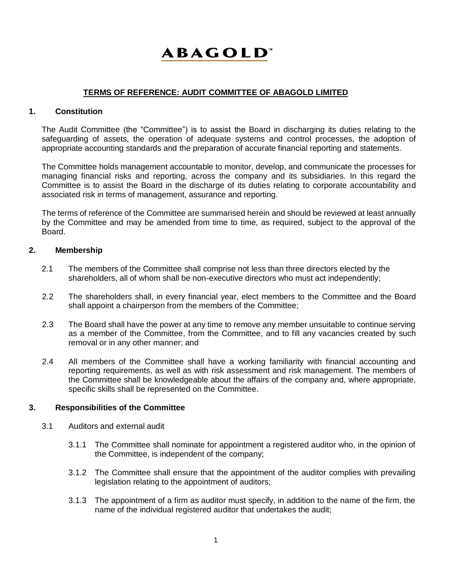# **ABAGOLD**

# **TERMS OF REFERENCE: AUDIT COMMITTEE OF ABAGOLD LIMITED**

### **1. Constitution**

The Audit Committee (the "Committee") is to assist the Board in discharging its duties relating to the safeguarding of assets, the operation of adequate systems and control processes, the adoption of appropriate accounting standards and the preparation of accurate financial reporting and statements.

The Committee holds management accountable to monitor, develop, and communicate the processes for managing financial risks and reporting, across the company and its subsidiaries. In this regard the Committee is to assist the Board in the discharge of its duties relating to corporate accountability and associated risk in terms of management, assurance and reporting.

The terms of reference of the Committee are summarised herein and should be reviewed at least annually by the Committee and may be amended from time to time, as required, subject to the approval of the Board.

### **2. Membership**

- 2.1 The members of the Committee shall comprise not less than three directors elected by the shareholders, all of whom shall be non-executive directors who must act independently;
- 2.2 The shareholders shall, in every financial year, elect members to the Committee and the Board shall appoint a chairperson from the members of the Committee;
- 2.3 The Board shall have the power at any time to remove any member unsuitable to continue serving as a member of the Committee, from the Committee, and to fill any vacancies created by such removal or in any other manner; and
- 2.4 All members of the Committee shall have a working familiarity with financial accounting and reporting requirements, as well as with risk assessment and risk management. The members of the Committee shall be knowledgeable about the affairs of the company and, where appropriate, specific skills shall be represented on the Committee.

#### **3. Responsibilities of the Committee**

- 3.1 Auditors and external audit
	- 3.1.1 The Committee shall nominate for appointment a registered auditor who, in the opinion of the Committee, is independent of the company;
	- 3.1.2 The Committee shall ensure that the appointment of the auditor complies with prevailing legislation relating to the appointment of auditors;
	- 3.1.3 The appointment of a firm as auditor must specify, in addition to the name of the firm, the name of the individual registered auditor that undertakes the audit;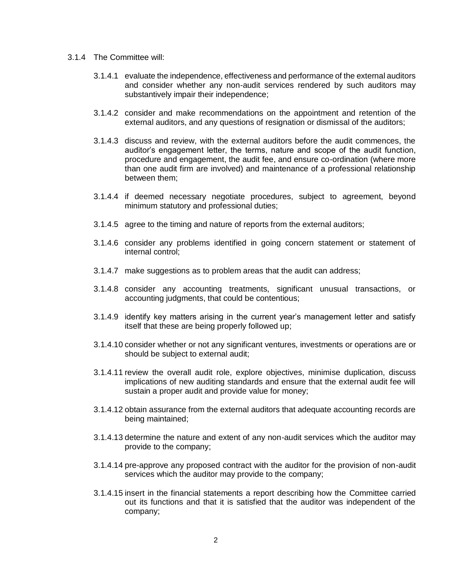- 3.1.4 The Committee will:
	- 3.1.4.1 evaluate the independence, effectiveness and performance of the external auditors and consider whether any non-audit services rendered by such auditors may substantively impair their independence;
	- 3.1.4.2 consider and make recommendations on the appointment and retention of the external auditors, and any questions of resignation or dismissal of the auditors;
	- 3.1.4.3 discuss and review, with the external auditors before the audit commences, the auditor's engagement letter, the terms, nature and scope of the audit function, procedure and engagement, the audit fee, and ensure co-ordination (where more than one audit firm are involved) and maintenance of a professional relationship between them;
	- 3.1.4.4 if deemed necessary negotiate procedures, subject to agreement, beyond minimum statutory and professional duties;
	- 3.1.4.5 agree to the timing and nature of reports from the external auditors;
	- 3.1.4.6 consider any problems identified in going concern statement or statement of internal control;
	- 3.1.4.7 make suggestions as to problem areas that the audit can address;
	- 3.1.4.8 consider any accounting treatments, significant unusual transactions, or accounting judgments, that could be contentious;
	- 3.1.4.9 identify key matters arising in the current year's management letter and satisfy itself that these are being properly followed up;
	- 3.1.4.10 consider whether or not any significant ventures, investments or operations are or should be subject to external audit;
	- 3.1.4.11 review the overall audit role, explore objectives, minimise duplication, discuss implications of new auditing standards and ensure that the external audit fee will sustain a proper audit and provide value for money;
	- 3.1.4.12 obtain assurance from the external auditors that adequate accounting records are being maintained;
	- 3.1.4.13 determine the nature and extent of any non-audit services which the auditor may provide to the company;
	- 3.1.4.14 pre-approve any proposed contract with the auditor for the provision of non-audit services which the auditor may provide to the company;
	- 3.1.4.15 insert in the financial statements a report describing how the Committee carried out its functions and that it is satisfied that the auditor was independent of the company;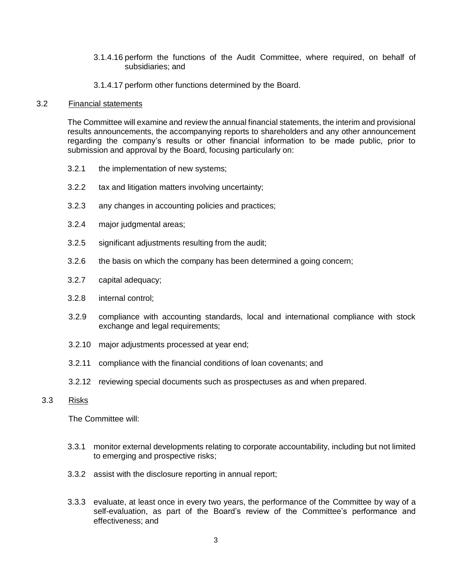- 3.1.4.16 perform the functions of the Audit Committee, where required, on behalf of subsidiaries; and
- 3.1.4.17 perform other functions determined by the Board.

#### 3.2 Financial statements

The Committee will examine and review the annual financial statements, the interim and provisional results announcements, the accompanying reports to shareholders and any other announcement regarding the company's results or other financial information to be made public, prior to submission and approval by the Board, focusing particularly on:

- 3.2.1 the implementation of new systems;
- 3.2.2 tax and litigation matters involving uncertainty;
- 3.2.3 any changes in accounting policies and practices;
- 3.2.4 major judgmental areas;
- 3.2.5 significant adjustments resulting from the audit;
- 3.2.6 the basis on which the company has been determined a going concern;
- 3.2.7 capital adequacy;
- 3.2.8 internal control;
- 3.2.9 compliance with accounting standards, local and international compliance with stock exchange and legal requirements;
- 3.2.10 major adjustments processed at year end;
- 3.2.11 compliance with the financial conditions of loan covenants; and
- 3.2.12 reviewing special documents such as prospectuses as and when prepared.

#### 3.3 Risks

The Committee will:

- 3.3.1 monitor external developments relating to corporate accountability, including but not limited to emerging and prospective risks;
- 3.3.2 assist with the disclosure reporting in annual report;
- 3.3.3 evaluate, at least once in every two years, the performance of the Committee by way of a self-evaluation, as part of the Board's review of the Committee's performance and effectiveness; and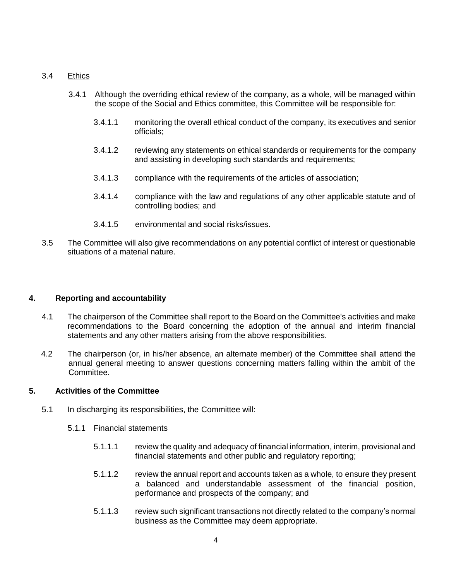### 3.4 Ethics

- 3.4.1 Although the overriding ethical review of the company, as a whole, will be managed within the scope of the Social and Ethics committee, this Committee will be responsible for:
	- 3.4.1.1 monitoring the overall ethical conduct of the company, its executives and senior officials;
	- 3.4.1.2 reviewing any statements on ethical standards or requirements for the company and assisting in developing such standards and requirements;
	- 3.4.1.3 compliance with the requirements of the articles of association;
	- 3.4.1.4 compliance with the law and regulations of any other applicable statute and of controlling bodies; and
	- 3.4.1.5 environmental and social risks/issues.
- 3.5 The Committee will also give recommendations on any potential conflict of interest or questionable situations of a material nature.

# **4. Reporting and accountability**

- 4.1 The chairperson of the Committee shall report to the Board on the Committee's activities and make recommendations to the Board concerning the adoption of the annual and interim financial statements and any other matters arising from the above responsibilities.
- 4.2 The chairperson (or, in his/her absence, an alternate member) of the Committee shall attend the annual general meeting to answer questions concerning matters falling within the ambit of the Committee.

# **5. Activities of the Committee**

- 5.1 In discharging its responsibilities, the Committee will:
	- 5.1.1 Financial statements
		- 5.1.1.1 review the quality and adequacy of financial information, interim, provisional and financial statements and other public and regulatory reporting;
		- 5.1.1.2 review the annual report and accounts taken as a whole, to ensure they present a balanced and understandable assessment of the financial position, performance and prospects of the company; and
		- 5.1.1.3 review such significant transactions not directly related to the company's normal business as the Committee may deem appropriate.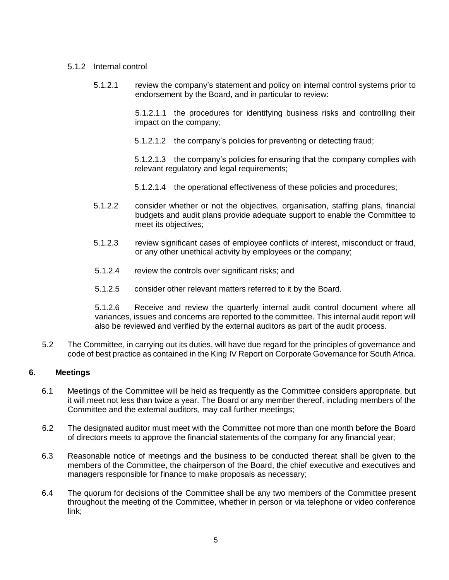#### 5.1.2 Internal control

5.1.2.1 review the company's statement and policy on internal control systems prior to endorsement by the Board, and in particular to review:

> 5.1.2.1.1 the procedures for identifying business risks and controlling their impact on the company;

5.1.2.1.2 the company's policies for preventing or detecting fraud;

5.1.2.1.3 the company's policies for ensuring that the company complies with relevant regulatory and legal requirements;

- 5.1.2.1.4 the operational effectiveness of these policies and procedures;
- 5.1.2.2 consider whether or not the objectives, organisation, staffing plans, financial budgets and audit plans provide adequate support to enable the Committee to meet its objectives;
- 5.1.2.3 review significant cases of employee conflicts of interest, misconduct or fraud, or any other unethical activity by employees or the company;
- 5.1.2.4 review the controls over significant risks; and
- 5.1.2.5 consider other relevant matters referred to it by the Board.

5.1.2.6 Receive and review the quarterly internal audit control document where all variances, issues and concerns are reported to the committee. This internal audit report will also be reviewed and verified by the external auditors as part of the audit process.

5.2 The Committee, in carrying out its duties, will have due regard for the principles of governance and code of best practice as contained in the King IV Report on Corporate Governance for South Africa.

# **6. Meetings**

- 6.1 Meetings of the Committee will be held as frequently as the Committee considers appropriate, but it will meet not less than twice a year. The Board or any member thereof, including members of the Committee and the external auditors, may call further meetings;
- 6.2 The designated auditor must meet with the Committee not more than one month before the Board of directors meets to approve the financial statements of the company for any financial year;
- 6.3 Reasonable notice of meetings and the business to be conducted thereat shall be given to the members of the Committee, the chairperson of the Board, the chief executive and executives and managers responsible for finance to make proposals as necessary;
- 6.4 The quorum for decisions of the Committee shall be any two members of the Committee present throughout the meeting of the Committee, whether in person or via telephone or video conference link;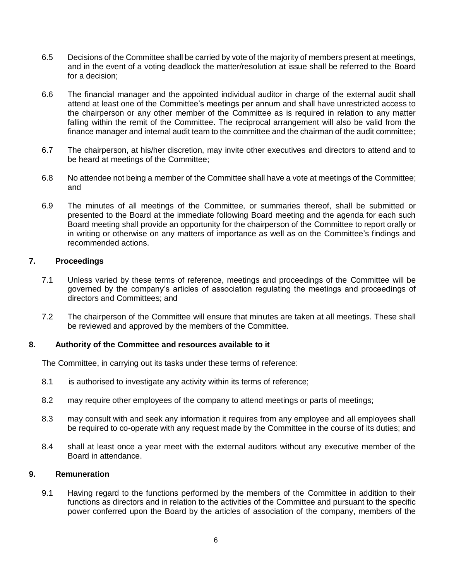- 6.5 Decisions of the Committee shall be carried by vote of the majority of members present at meetings, and in the event of a voting deadlock the matter/resolution at issue shall be referred to the Board for a decision;
- 6.6 The financial manager and the appointed individual auditor in charge of the external audit shall attend at least one of the Committee's meetings per annum and shall have unrestricted access to the chairperson or any other member of the Committee as is required in relation to any matter falling within the remit of the Committee. The reciprocal arrangement will also be valid from the finance manager and internal audit team to the committee and the chairman of the audit committee;
- 6.7 The chairperson, at his/her discretion, may invite other executives and directors to attend and to be heard at meetings of the Committee;
- 6.8 No attendee not being a member of the Committee shall have a vote at meetings of the Committee; and
- 6.9 The minutes of all meetings of the Committee, or summaries thereof, shall be submitted or presented to the Board at the immediate following Board meeting and the agenda for each such Board meeting shall provide an opportunity for the chairperson of the Committee to report orally or in writing or otherwise on any matters of importance as well as on the Committee's findings and recommended actions.

# **7. Proceedings**

- 7.1 Unless varied by these terms of reference, meetings and proceedings of the Committee will be governed by the company's articles of association regulating the meetings and proceedings of directors and Committees; and
- 7.2 The chairperson of the Committee will ensure that minutes are taken at all meetings. These shall be reviewed and approved by the members of the Committee.

# **8. Authority of the Committee and resources available to it**

The Committee, in carrying out its tasks under these terms of reference:

- 8.1 is authorised to investigate any activity within its terms of reference;
- 8.2 may require other employees of the company to attend meetings or parts of meetings;
- 8.3 may consult with and seek any information it requires from any employee and all employees shall be required to co-operate with any request made by the Committee in the course of its duties; and
- 8.4 shall at least once a year meet with the external auditors without any executive member of the Board in attendance.

#### **9. Remuneration**

9.1 Having regard to the functions performed by the members of the Committee in addition to their functions as directors and in relation to the activities of the Committee and pursuant to the specific power conferred upon the Board by the articles of association of the company, members of the